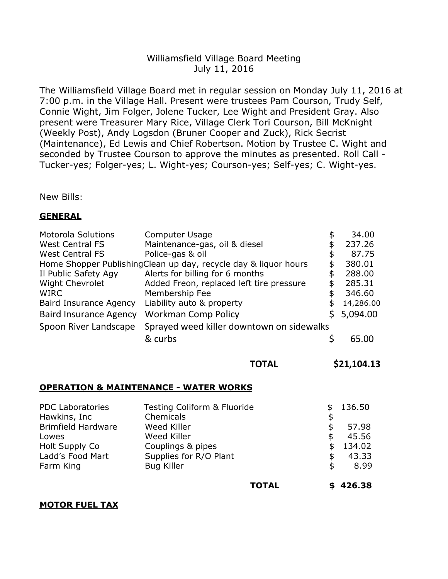# Williamsfield Village Board Meeting July 11, 2016

The Williamsfield Village Board met in regular session on Monday July 11, 2016 at 7:00 p.m. in the Village Hall. Present were trustees Pam Courson, Trudy Self, Connie Wight, Jim Folger, Jolene Tucker, Lee Wight and President Gray. Also present were Treasurer Mary Rice, Village Clerk Tori Courson, Bill McKnight (Weekly Post), Andy Logsdon (Bruner Cooper and Zuck), Rick Secrist (Maintenance), Ed Lewis and Chief Robertson. Motion by Trustee C. Wight and seconded by Trustee Courson to approve the minutes as presented. Roll Call - Tucker-yes; Folger-yes; L. Wight-yes; Courson-yes; Self-yes; C. Wight-yes.

New Bills:

## **GENERAL**

| <b>Motorola Solutions</b>                                       | Computer Usage                            | \$ | 34.00     |
|-----------------------------------------------------------------|-------------------------------------------|----|-----------|
| <b>West Central FS</b>                                          | Maintenance-gas, oil & diesel             |    | 237.26    |
| <b>West Central FS</b>                                          | Police-gas & oil                          | \$ | 87.75     |
| Home Shopper PublishingClean up day, recycle day & liquor hours |                                           |    | 380.01    |
| Il Public Safety Agy                                            | Alerts for billing for 6 months           | \$ | 288.00    |
| <b>Wight Chevrolet</b>                                          | Added Freon, replaced left tire pressure  | \$ | 285.31    |
| <b>WIRC</b>                                                     | Membership Fee                            | \$ | 346.60    |
| <b>Baird Insurance Agency</b>                                   | Liability auto & property                 | \$ | 14,286.00 |
| <b>Baird Insurance Agency</b>                                   | <b>Workman Comp Policy</b>                |    | 5,094.00  |
| Spoon River Landscape                                           | Sprayed weed killer downtown on sidewalks |    |           |
|                                                                 | & curbs                                   |    |           |

**TOTAL \$21,104.13**

## **OPERATION & MAINTENANCE - WATER WORKS**

| <b>PDC Laboratories</b>   | Testing Coliform & Fluoride |    | 136.50 |
|---------------------------|-----------------------------|----|--------|
| Hawkins, Inc              | Chemicals                   | S  |        |
| <b>Brimfield Hardware</b> | Weed Killer                 |    | 57.98  |
| Lowes                     | Weed Killer                 | S  | 45.56  |
| Holt Supply Co            | Couplings & pipes           |    | 134.02 |
| Ladd's Food Mart          | Supplies for R/O Plant      |    | 43.33  |
| Farm King                 | <b>Bug Killer</b>           | \$ | 8.99   |
|                           |                             |    |        |

**TOTAL \$ 426.38**

### **MOTOR FUEL TAX**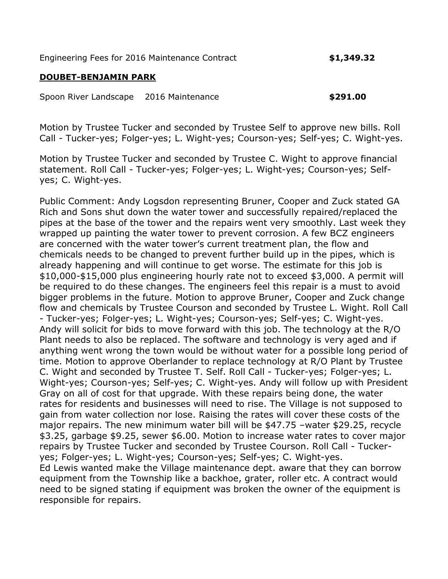Engineering Fees for 2016 Maintenance Contract **\$1,349.32**

## **DOUBET-BENJAMIN PARK**

Spoon River Landscape 2016 Maintenance **\$291.00**

Motion by Trustee Tucker and seconded by Trustee Self to approve new bills. Roll Call - Tucker-yes; Folger-yes; L. Wight-yes; Courson-yes; Self-yes; C. Wight-yes.

Motion by Trustee Tucker and seconded by Trustee C. Wight to approve financial statement. Roll Call - Tucker-yes; Folger-yes; L. Wight-yes; Courson-yes; Selfyes; C. Wight-yes.

Public Comment: Andy Logsdon representing Bruner, Cooper and Zuck stated GA Rich and Sons shut down the water tower and successfully repaired/replaced the pipes at the base of the tower and the repairs went very smoothly. Last week they wrapped up painting the water tower to prevent corrosion. A few BCZ engineers are concerned with the water tower's current treatment plan, the flow and chemicals needs to be changed to prevent further build up in the pipes, which is already happening and will continue to get worse. The estimate for this job is \$10,000-\$15,000 plus engineering hourly rate not to exceed \$3,000. A permit will be required to do these changes. The engineers feel this repair is a must to avoid bigger problems in the future. Motion to approve Bruner, Cooper and Zuck change flow and chemicals by Trustee Courson and seconded by Trustee L. Wight. Roll Call - Tucker-yes; Folger-yes; L. Wight-yes; Courson-yes; Self-yes; C. Wight-yes. Andy will solicit for bids to move forward with this job. The technology at the R/O Plant needs to also be replaced. The software and technology is very aged and if anything went wrong the town would be without water for a possible long period of time. Motion to approve Oberlander to replace technology at R/O Plant by Trustee C. Wight and seconded by Trustee T. Self. Roll Call - Tucker-yes; Folger-yes; L. Wight-yes; Courson-yes; Self-yes; C. Wight-yes. Andy will follow up with President Gray on all of cost for that upgrade. With these repairs being done, the water rates for residents and businesses will need to rise. The Village is not supposed to gain from water collection nor lose. Raising the rates will cover these costs of the major repairs. The new minimum water bill will be \$47.75 –water \$29.25, recycle \$3.25, garbage \$9.25, sewer \$6.00. Motion to increase water rates to cover major repairs by Trustee Tucker and seconded by Trustee Courson. Roll Call - Tuckeryes; Folger-yes; L. Wight-yes; Courson-yes; Self-yes; C. Wight-yes. Ed Lewis wanted make the Village maintenance dept. aware that they can borrow equipment from the Township like a backhoe, grater, roller etc. A contract would need to be signed stating if equipment was broken the owner of the equipment is responsible for repairs.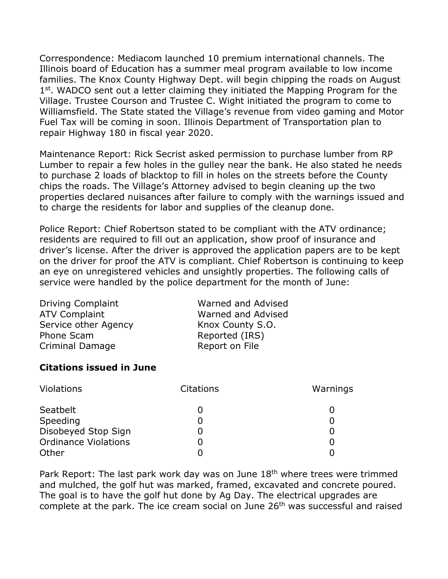Correspondence: Mediacom launched 10 premium international channels. The Illinois board of Education has a summer meal program available to low income families. The Knox County Highway Dept. will begin chipping the roads on August 1<sup>st</sup>. WADCO sent out a letter claiming they initiated the Mapping Program for the Village. Trustee Courson and Trustee C. Wight initiated the program to come to Williamsfield. The State stated the Village's revenue from video gaming and Motor Fuel Tax will be coming in soon. Illinois Department of Transportation plan to repair Highway 180 in fiscal year 2020.

Maintenance Report: Rick Secrist asked permission to purchase lumber from RP Lumber to repair a few holes in the gulley near the bank. He also stated he needs to purchase 2 loads of blacktop to fill in holes on the streets before the County chips the roads. The Village's Attorney advised to begin cleaning up the two properties declared nuisances after failure to comply with the warnings issued and to charge the residents for labor and supplies of the cleanup done.

Police Report: Chief Robertson stated to be compliant with the ATV ordinance; residents are required to fill out an application, show proof of insurance and driver's license. After the driver is approved the application papers are to be kept on the driver for proof the ATV is compliant. Chief Robertson is continuing to keep an eye on unregistered vehicles and unsightly properties. The following calls of service were handled by the police department for the month of June:

| <b>Driving Complaint</b> | Warned and Advised |
|--------------------------|--------------------|
| <b>ATV Complaint</b>     | Warned and Advised |
| Service other Agency     | Knox County S.O.   |
| Phone Scam               | Reported (IRS)     |
| <b>Criminal Damage</b>   | Report on File     |

## **Citations issued in June**

| <b>Violations</b>           | <b>Citations</b> | Warnings |
|-----------------------------|------------------|----------|
| Seatbelt                    |                  |          |
| Speeding                    |                  |          |
| Disobeyed Stop Sign         |                  |          |
| <b>Ordinance Violations</b> |                  |          |
| Other                       |                  |          |

Park Report: The last park work day was on June 18<sup>th</sup> where trees were trimmed and mulched, the golf hut was marked, framed, excavated and concrete poured. The goal is to have the golf hut done by Ag Day. The electrical upgrades are complete at the park. The ice cream social on June 26<sup>th</sup> was successful and raised